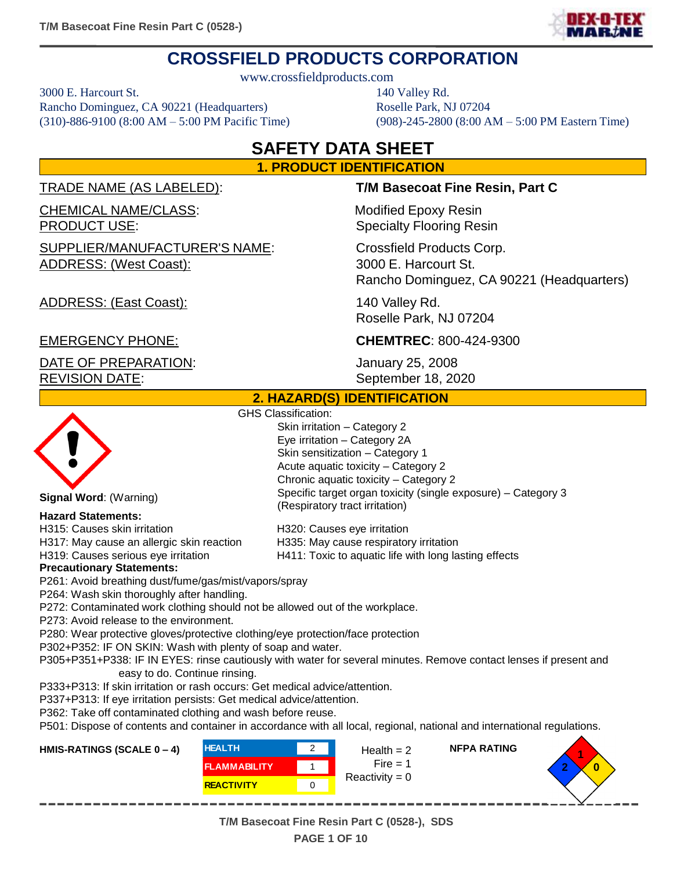

# **CROSSFIELD PRODUCTS CORPORATION**

www.crossfieldproducts.com

3000 E. Harcourt St. 140 Valley Rd. Rancho Dominguez, CA 90221 (Headquarters) Roselle Park, NJ 07204

# (310)-886-9100 (8:00 AM – 5:00 PM Pacific Time) (908)-245-2800 (8:00 AM – 5:00 PM Eastern Time)

# **SAFETY DATA SHEET 1. PRODUCT IDENTIFICATION**

TRADE NAME (AS LABELED): **T/M Basecoat Fine Resin, Part C**

CHEMICAL NAME/CLASS: Modified Epoxy Resin

SUPPLIER/MANUFACTURER'S NAME: Crossfield Products Corp. ADDRESS: (West Coast): 3000 E. Harcourt St.

**PRODUCT USE:** Specialty Flooring Resin

Rancho Dominguez, CA 90221 (Headquarters)

**NFPA RATING**

ADDRESS: (East Coast): 140 Valley Rd. Roselle Park, NJ 07204

DATE OF PREPARATION: January 25, 2008 REVISION DATE: September 18, 2020

# EMERGENCY PHONE: **CHEMTREC**: 800-424-9300

Specific target organ toxicity (single exposure) – Category 3

#### **2. HAZARD(S) IDENTIFICATION**

Skin irritation – Category 2 Eye irritation – Category 2A Skin sensitization – Category 1 Acute aquatic toxicity – Category 2 Chronic aquatic toxicity – Category 2

(Respiratory tract irritation)

GHS Classification:



**Signal Word**: (Warning)

#### **Hazard Statements:**

H315: Causes skin irritation H320: Causes eye irritation H317: May cause an allergic skin reaction H335: May cause respiratory irritation H319: Causes serious eye irritation H411: Toxic to aquatic life with long lasting effects

#### **Precautionary Statements:**

P261: Avoid breathing dust/fume/gas/mist/vapors/spray

P264: Wash skin thoroughly after handling.

P272: Contaminated work clothing should not be allowed out of the workplace.

P273: Avoid release to the environment.

P280: Wear protective gloves/protective clothing/eye protection/face protection

P302+P352: IF ON SKIN: Wash with plenty of soap and water.

P305+P351+P338: IF IN EYES: rinse cautiously with water for several minutes. Remove contact lenses if present and easy to do. Continue rinsing.

P333+P313: If skin irritation or rash occurs: Get medical advice/attention.

P337+P313: If eye irritation persists: Get medical advice/attention.

P362: Take off contaminated clothing and wash before reuse.

P501: Dispose of contents and container in accordance with all local, regional, national and international regulations.

#### **HMIS-RATINGS (SCALE 0 – 4)**

| <b>HEALTH</b>       | Health $= 2$     |
|---------------------|------------------|
| <b>FLAMMABILITY</b> | Fire $=$ 1       |
| <b>REACTIVITY</b>   | Reactivity = $0$ |

--------------



**T/M Basecoat Fine Resin Part C (0528-), SDS PAGE 1 OF 10**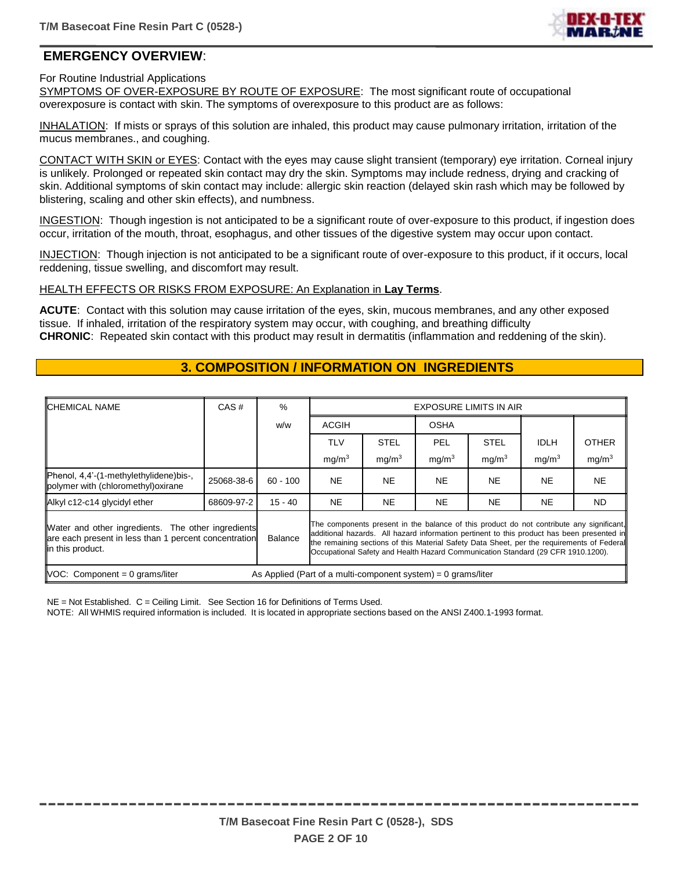

## **EMERGENCY OVERVIEW**:

For Routine Industrial Applications

SYMPTOMS OF OVER-EXPOSURE BY ROUTE OF EXPOSURE: The most significant route of occupational overexposure is contact with skin. The symptoms of overexposure to this product are as follows:

INHALATION: If mists or sprays of this solution are inhaled, this product may cause pulmonary irritation, irritation of the mucus membranes., and coughing.

CONTACT WITH SKIN or EYES: Contact with the eyes may cause slight transient (temporary) eye irritation. Corneal injury is unlikely. Prolonged or repeated skin contact may dry the skin. Symptoms may include redness, drying and cracking of skin. Additional symptoms of skin contact may include: allergic skin reaction (delayed skin rash which may be followed by blistering, scaling and other skin effects), and numbness.

INGESTION: Though ingestion is not anticipated to be a significant route of over-exposure to this product, if ingestion does occur, irritation of the mouth, throat, esophagus, and other tissues of the digestive system may occur upon contact.

INJECTION: Though injection is not anticipated to be a significant route of over-exposure to this product, if it occurs, local reddening, tissue swelling, and discomfort may result.

HEALTH EFFECTS OR RISKS FROM EXPOSURE: An Explanation in **Lay Terms**.

**ACUTE**: Contact with this solution may cause irritation of the eyes, skin, mucous membranes, and any other exposed tissue. If inhaled, irritation of the respiratory system may occur, with coughing, and breathing difficulty **CHRONIC**: Repeated skin contact with this product may result in dermatitis (inflammation and reddening of the skin).

# **3. COMPOSITION / INFORMATION ON INGREDIENTS**

| <b>ICHEMICAL NAME</b>                                                                                                            | CAS#       | $\%$           | <b>EXPOSURE LIMITS IN AIR</b>                                                                                                                                                                                                                                                                                                                                            |                   |                   |                   |                   |                   |
|----------------------------------------------------------------------------------------------------------------------------------|------------|----------------|--------------------------------------------------------------------------------------------------------------------------------------------------------------------------------------------------------------------------------------------------------------------------------------------------------------------------------------------------------------------------|-------------------|-------------------|-------------------|-------------------|-------------------|
|                                                                                                                                  |            | w/w            | <b>ACGIH</b>                                                                                                                                                                                                                                                                                                                                                             |                   | <b>OSHA</b>       |                   |                   |                   |
|                                                                                                                                  |            |                | <b>TLV</b>                                                                                                                                                                                                                                                                                                                                                               | <b>STEL</b>       | PEL               | <b>STEL</b>       | <b>IDLH</b>       | <b>OTHER</b>      |
|                                                                                                                                  |            |                | mg/m <sup>3</sup>                                                                                                                                                                                                                                                                                                                                                        | mg/m <sup>3</sup> | mq/m <sup>3</sup> | mg/m <sup>3</sup> | mg/m <sup>3</sup> | mg/m <sup>3</sup> |
| Phenol, 4,4'-(1-methylethylidene)bis-,<br>polymer with (chloromethyl) oxirane                                                    | 25068-38-6 | $60 - 100$     | <b>NE</b>                                                                                                                                                                                                                                                                                                                                                                | NE.               | <b>NE</b>         | <b>NE</b>         | <b>NE</b>         | <b>NE</b>         |
| Alkyl c12-c14 glycidyl ether                                                                                                     | 68609-97-2 | $15 - 40$      | <b>NE</b>                                                                                                                                                                                                                                                                                                                                                                | <b>NE</b>         | <b>NE</b>         | <b>NE</b>         | NE.               | ND.               |
| Water and other ingredients. The other ingredients<br>are each present in less than 1 percent concentration<br>lin this product. |            | <b>Balance</b> | The components present in the balance of this product do not contribute any significant,<br>additional hazards. All hazard information pertinent to this product has been presented in<br>the remaining sections of this Material Safety Data Sheet, per the requirements of Federal<br>Occupational Safety and Health Hazard Communication Standard (29 CFR 1910.1200). |                   |                   |                   |                   |                   |
| $\textsf{INOC:}$ Component = 0 grams/liter<br>As Applied (Part of a multi-component system) = $0$ grams/liter                    |            |                |                                                                                                                                                                                                                                                                                                                                                                          |                   |                   |                   |                   |                   |

NE = Not Established. C = Ceiling Limit. See Section 16 for Definitions of Terms Used.

NOTE: All WHMIS required information is included. It is located in appropriate sections based on the ANSI Z400.1-1993 format.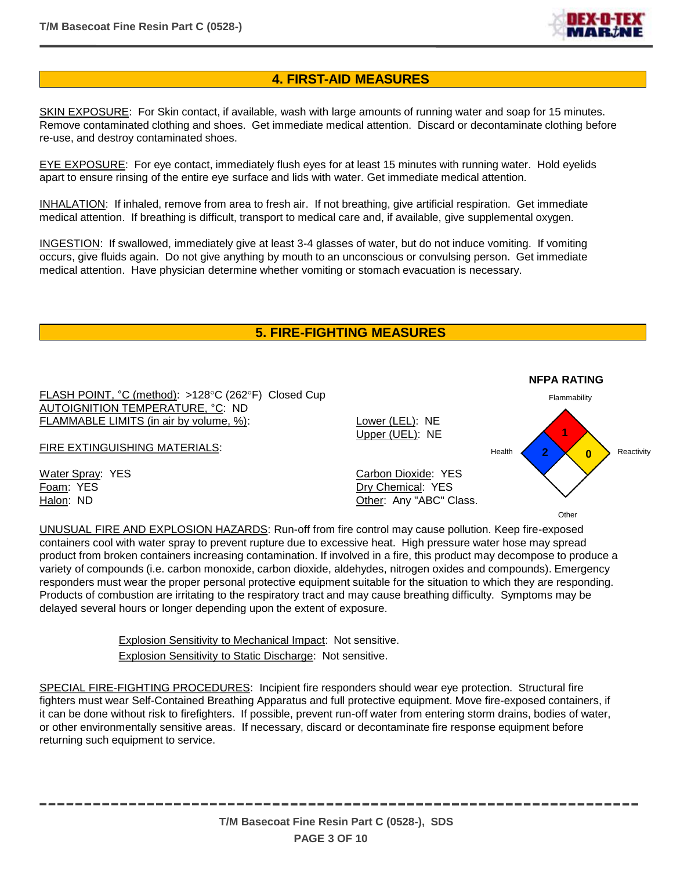

### **4. FIRST-AID MEASURES**

SKIN EXPOSURE: For Skin contact, if available, wash with large amounts of running water and soap for 15 minutes. Remove contaminated clothing and shoes. Get immediate medical attention. Discard or decontaminate clothing before re-use, and destroy contaminated shoes.

EYE EXPOSURE: For eye contact, immediately flush eyes for at least 15 minutes with running water. Hold eyelids apart to ensure rinsing of the entire eye surface and lids with water. Get immediate medical attention.

INHALATION: If inhaled, remove from area to fresh air. If not breathing, give artificial respiration. Get immediate medical attention. If breathing is difficult, transport to medical care and, if available, give supplemental oxygen.

INGESTION: If swallowed, immediately give at least 3-4 glasses of water, but do not induce vomiting. If vomiting occurs, give fluids again. Do not give anything by mouth to an unconscious or convulsing person. Get immediate medical attention. Have physician determine whether vomiting or stomach evacuation is necessary.

## **5. FIRE-FIGHTING MEASURES**



UNUSUAL FIRE AND EXPLOSION HAZARDS: Run-off from fire control may cause pollution. Keep fire-exposed containers cool with water spray to prevent rupture due to excessive heat. High pressure water hose may spread product from broken containers increasing contamination. If involved in a fire, this product may decompose to produce a variety of compounds (i.e. carbon monoxide, carbon dioxide, aldehydes, nitrogen oxides and compounds). Emergency responders must wear the proper personal protective equipment suitable for the situation to which they are responding. Products of combustion are irritating to the respiratory tract and may cause breathing difficulty. Symptoms may be delayed several hours or longer depending upon the extent of exposure.

> Explosion Sensitivity to Mechanical Impact: Not sensitive. Explosion Sensitivity to Static Discharge: Not sensitive.

SPECIAL FIRE-FIGHTING PROCEDURES: Incipient fire responders should wear eye protection. Structural fire fighters must wear Self-Contained Breathing Apparatus and full protective equipment. Move fire-exposed containers, if it can be done without risk to firefighters. If possible, prevent run-off water from entering storm drains, bodies of water, or other environmentally sensitive areas. If necessary, discard or decontaminate fire response equipment before returning such equipment to service.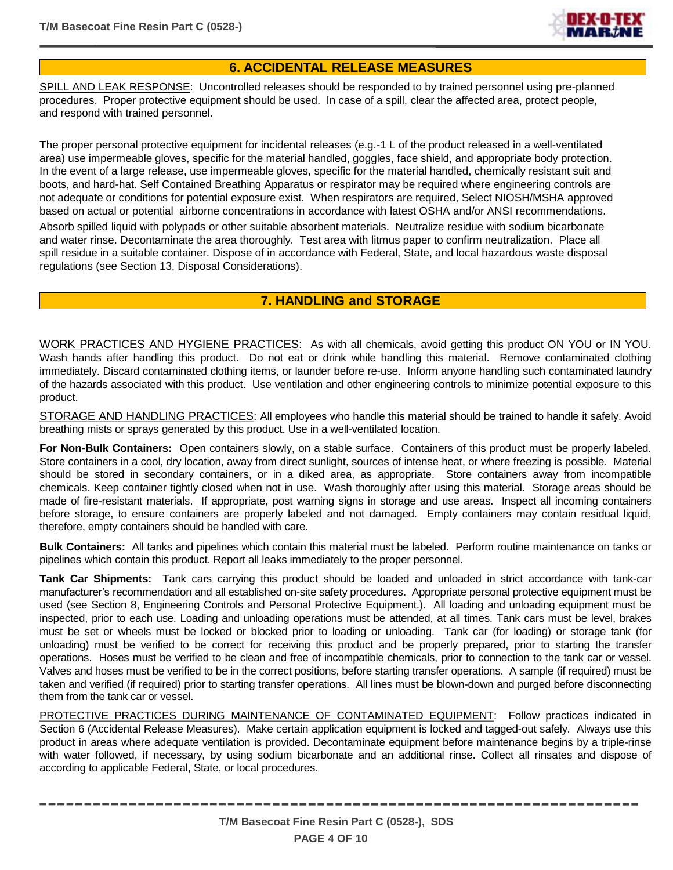

## **6. ACCIDENTAL RELEASE MEASURES**

SPILL AND LEAK RESPONSE: Uncontrolled releases should be responded to by trained personnel using pre-planned procedures. Proper protective equipment should be used. In case of a spill, clear the affected area, protect people, and respond with trained personnel.

The proper personal protective equipment for incidental releases (e.g.-1 L of the product released in a well-ventilated area) use impermeable gloves, specific for the material handled, goggles, face shield, and appropriate body protection. In the event of a large release, use impermeable gloves, specific for the material handled, chemically resistant suit and boots, and hard-hat. Self Contained Breathing Apparatus or respirator may be required where engineering controls are not adequate or conditions for potential exposure exist. When respirators are required, Select NIOSH/MSHA approved based on actual or potential airborne concentrations in accordance with latest OSHA and/or ANSI recommendations. Absorb spilled liquid with polypads or other suitable absorbent materials. Neutralize residue with sodium bicarbonate and water rinse. Decontaminate the area thoroughly. Test area with litmus paper to confirm neutralization. Place all spill residue in a suitable container. Dispose of in accordance with Federal, State, and local hazardous waste disposal regulations (see Section 13, Disposal Considerations).

## **7. HANDLING and STORAGE**

WORK PRACTICES AND HYGIENE PRACTICES: As with all chemicals, avoid getting this product ON YOU or IN YOU. Wash hands after handling this product. Do not eat or drink while handling this material. Remove contaminated clothing immediately. Discard contaminated clothing items, or launder before re-use. Inform anyone handling such contaminated laundry of the hazards associated with this product. Use ventilation and other engineering controls to minimize potential exposure to this product.

STORAGE AND HANDLING PRACTICES: All employees who handle this material should be trained to handle it safely. Avoid breathing mists or sprays generated by this product. Use in a well-ventilated location.

**For Non-Bulk Containers:** Open containers slowly, on a stable surface. Containers of this product must be properly labeled. Store containers in a cool, dry location, away from direct sunlight, sources of intense heat, or where freezing is possible. Material should be stored in secondary containers, or in a diked area, as appropriate. Store containers away from incompatible chemicals. Keep container tightly closed when not in use. Wash thoroughly after using this material. Storage areas should be made of fire-resistant materials. If appropriate, post warning signs in storage and use areas. Inspect all incoming containers before storage, to ensure containers are properly labeled and not damaged. Empty containers may contain residual liquid, therefore, empty containers should be handled with care.

**Bulk Containers:** All tanks and pipelines which contain this material must be labeled. Perform routine maintenance on tanks or pipelines which contain this product. Report all leaks immediately to the proper personnel.

**Tank Car Shipments:** Tank cars carrying this product should be loaded and unloaded in strict accordance with tank-car manufacturer's recommendation and all established on-site safety procedures. Appropriate personal protective equipment must be used (see Section 8, Engineering Controls and Personal Protective Equipment.). All loading and unloading equipment must be inspected, prior to each use. Loading and unloading operations must be attended, at all times. Tank cars must be level, brakes must be set or wheels must be locked or blocked prior to loading or unloading. Tank car (for loading) or storage tank (for unloading) must be verified to be correct for receiving this product and be properly prepared, prior to starting the transfer operations. Hoses must be verified to be clean and free of incompatible chemicals, prior to connection to the tank car or vessel. Valves and hoses must be verified to be in the correct positions, before starting transfer operations. A sample (if required) must be taken and verified (if required) prior to starting transfer operations. All lines must be blown-down and purged before disconnecting them from the tank car or vessel.

PROTECTIVE PRACTICES DURING MAINTENANCE OF CONTAMINATED EQUIPMENT: Follow practices indicated in Section 6 (Accidental Release Measures). Make certain application equipment is locked and tagged-out safely. Always use this product in areas where adequate ventilation is provided. Decontaminate equipment before maintenance begins by a triple-rinse with water followed, if necessary, by using sodium bicarbonate and an additional rinse. Collect all rinsates and dispose of according to applicable Federal, State, or local procedures.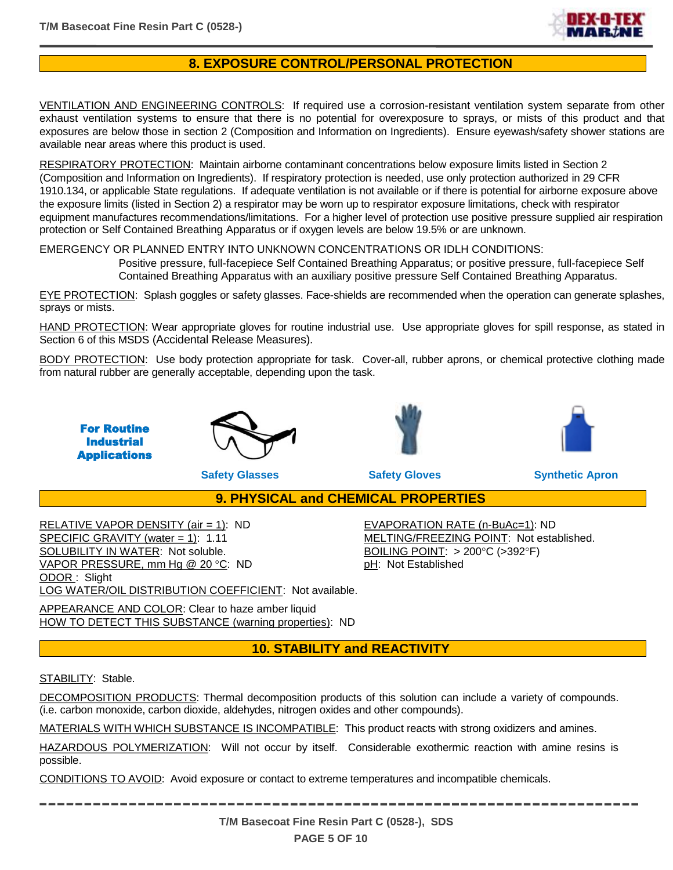

# **8. EXPOSURE CONTROL/PERSONAL PROTECTION**

VENTILATION AND ENGINEERING CONTROLS: If required use a corrosion-resistant ventilation system separate from other exhaust ventilation systems to ensure that there is no potential for overexposure to sprays, or mists of this product and that exposures are below those in section 2 (Composition and Information on Ingredients). Ensure eyewash/safety shower stations are available near areas where this product is used.

RESPIRATORY PROTECTION: Maintain airborne contaminant concentrations below exposure limits listed in Section 2 (Composition and Information on Ingredients). If respiratory protection is needed, use only protection authorized in 29 CFR 1910.134, or applicable State regulations. If adequate ventilation is not available or if there is potential for airborne exposure above the exposure limits (listed in Section 2) a respirator may be worn up to respirator exposure limitations, check with respirator equipment manufactures recommendations/limitations. For a higher level of protection use positive pressure supplied air respiration protection or Self Contained Breathing Apparatus or if oxygen levels are below 19.5% or are unknown.

#### EMERGENCY OR PLANNED ENTRY INTO UNKNOWN CONCENTRATIONS OR IDLH CONDITIONS:

Positive pressure, full-facepiece Self Contained Breathing Apparatus; or positive pressure, full-facepiece Self Contained Breathing Apparatus with an auxiliary positive pressure Self Contained Breathing Apparatus.

EYE PROTECTION: Splash goggles or safety glasses. Face-shields are recommended when the operation can generate splashes, sprays or mists.

HAND PROTECTION: Wear appropriate gloves for routine industrial use. Use appropriate gloves for spill response, as stated in Section 6 of this MSDS (Accidental Release Measures).

BODY PROTECTION: Use body protection appropriate for task. Cover-all, rubber aprons, or chemical protective clothing made from natural rubber are generally acceptable, depending upon the task.









**Safety Glasses Safety Gloves Synthetic Apron**

**9. PHYSICAL and CHEMICAL PROPERTIES**

RELATIVE VAPOR DENSITY (air = 1): ND EVAPORATION RATE (n-BuAc=1): ND SPECIFIC GRAVITY (water = 1): 1.11 MELTING/FREEZING POINT: Not established. SOLUBILITY IN WATER: Not soluble. BOILING POINT: > 200°C (>392°F) VAPOR PRESSURE, mm Hg @ 20 °C: ND pH: Not Established ODOR : Slight LOG WATER/OIL DISTRIBUTION COEFFICIENT: Not available.

APPEARANCE AND COLOR: Clear to haze amber liquid HOW TO DETECT THIS SUBSTANCE (warning properties): ND

## **10. STABILITY and REACTIVITY**

#### STABILITY: Stable.

DECOMPOSITION PRODUCTS: Thermal decomposition products of this solution can include a variety of compounds. (i.e. carbon monoxide, carbon dioxide, aldehydes, nitrogen oxides and other compounds).

MATERIALS WITH WHICH SUBSTANCE IS INCOMPATIBLE: This product reacts with strong oxidizers and amines.

HAZARDOUS POLYMERIZATION: Will not occur by itself. Considerable exothermic reaction with amine resins is possible.

CONDITIONS TO AVOID: Avoid exposure or contact to extreme temperatures and incompatible chemicals.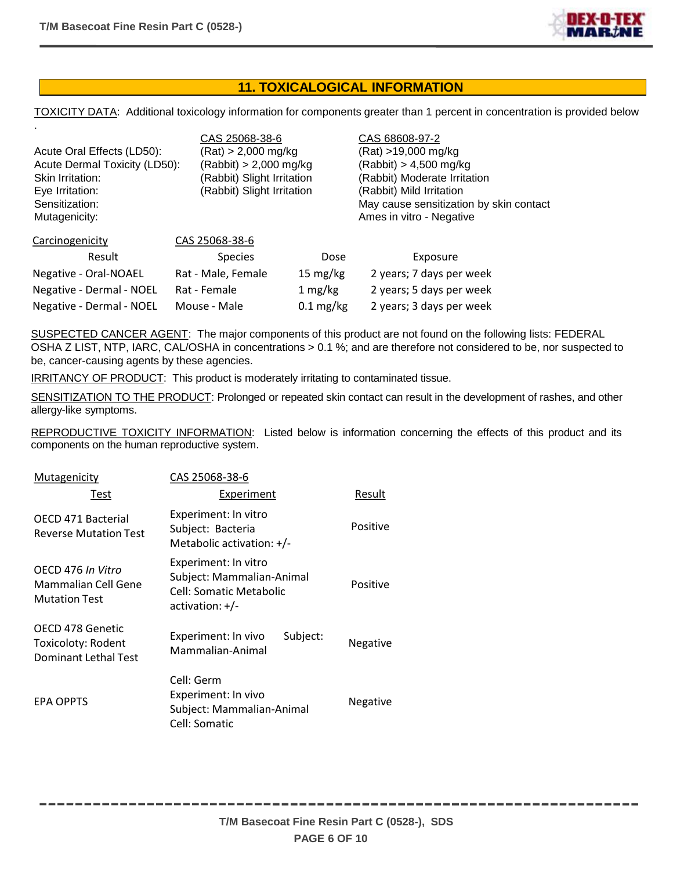

# **11. TOXICALOGICAL INFORMATION**

TOXICITY DATA: Additional toxicology information for components greater than 1 percent in concentration is provided below

| $\sim$<br>Acute Oral Effects (LD50):<br>Acute Dermal Toxicity (LD50):<br>Skin Irritation:<br>Eye Irritation:<br>Sensitization:<br>Mutagenicity: | CAS 25068-38-6<br>(Rat) > 2,000 mg/kg<br>(Rabbit) > 2,000 mg/kg<br>(Rabbit) Slight Irritation<br>(Rabbit) Slight Irritation |                     | CAS 68608-97-2<br>(Rat) >19,000 mg/kg<br>$(Rabbit) > 4,500$ mg/kg<br>(Rabbit) Moderate Irritation<br>(Rabbit) Mild Irritation<br>May cause sensitization by skin contact<br>Ames in vitro - Negative |  |
|-------------------------------------------------------------------------------------------------------------------------------------------------|-----------------------------------------------------------------------------------------------------------------------------|---------------------|------------------------------------------------------------------------------------------------------------------------------------------------------------------------------------------------------|--|
| Carcinogenicity                                                                                                                                 | CAS 25068-38-6                                                                                                              |                     |                                                                                                                                                                                                      |  |
| Result                                                                                                                                          | <b>Species</b>                                                                                                              | Dose                | Exposure                                                                                                                                                                                             |  |
| Negative - Oral-NOAEL                                                                                                                           | Rat - Male, Female                                                                                                          | 15 mg/kg            | 2 years; 7 days per week                                                                                                                                                                             |  |
| Negative - Dermal - NOEL                                                                                                                        | Rat - Female                                                                                                                | 1 mg/kg             | 2 years; 5 days per week                                                                                                                                                                             |  |
| Negative - Dermal - NOEL                                                                                                                        | Mouse - Male                                                                                                                | $0.1 \text{ mg/kg}$ | 2 years; 3 days per week                                                                                                                                                                             |  |

SUSPECTED CANCER AGENT: The major components of this product are not found on the following lists: FEDERAL OSHA Z LIST, NTP, IARC, CAL/OSHA in concentrations > 0.1 %; and are therefore not considered to be, nor suspected to be, cancer-causing agents by these agencies.

IRRITANCY OF PRODUCT: This product is moderately irritating to contaminated tissue.

SENSITIZATION TO THE PRODUCT: Prolonged or repeated skin contact can result in the development of rashes, and other allergy-like symptoms.

REPRODUCTIVE TOXICITY INFORMATION: Listed below is information concerning the effects of this product and its components on the human reproductive system.

| Mutagenicity                                                          | CAS 25068-38-6                                                                                      |          |
|-----------------------------------------------------------------------|-----------------------------------------------------------------------------------------------------|----------|
| Test                                                                  | <b>Experiment</b>                                                                                   | Result   |
| OECD 471 Bacterial<br><b>Reverse Mutation Test</b>                    | Experiment: In vitro<br>Subject: Bacteria<br>Metabolic activation: $+/-$                            | Positive |
| OFCD 476 In Vitro<br>Mammalian Cell Gene<br><b>Mutation Test</b>      | Experiment: In vitro<br>Subject: Mammalian-Animal<br>Cell: Somatic Metabolic<br>$\arctivation: +/-$ | Positive |
| OECD 478 Genetic<br>Toxicoloty: Rodent<br><b>Dominant Lethal Test</b> | Subject:<br>Experiment: In vivo<br>Mammalian-Animal                                                 | Negative |
| <b>EPA OPPTS</b>                                                      | Cell: Germ<br>Experiment: In vivo<br>Subject: Mammalian-Animal<br>Cell: Somatic                     | Negative |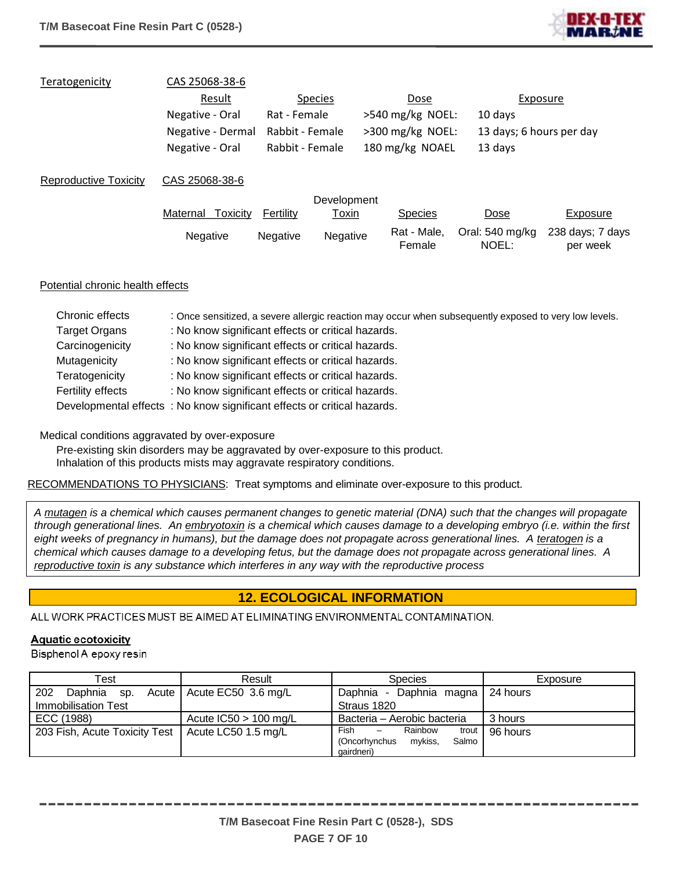

| Teratogenicity        | CAS 25068-38-6       |                 |                |                       |                          |                              |
|-----------------------|----------------------|-----------------|----------------|-----------------------|--------------------------|------------------------------|
|                       | Result               |                 | <b>Species</b> | Dose                  |                          | Exposure                     |
|                       | Negative - Oral      | Rat - Female    |                | $>540$ mg/kg NOEL:    | 10 days                  |                              |
|                       | Negative - Dermal    | Rabbit - Female |                | $>300$ mg/kg NOEL:    | 13 days; 6 hours per day |                              |
|                       | Negative - Oral      | Rabbit - Female |                | 180 mg/kg NOAEL       | 13 days                  |                              |
| Reproductive Toxicity | CAS 25068-38-6       |                 |                |                       |                          |                              |
|                       |                      |                 | Development    |                       |                          |                              |
|                       | Maternal<br>Toxicitv | Fertility       | <u>Toxin</u>   | <b>Species</b>        | Dose                     | Exposure                     |
|                       | Negative             | <b>Negative</b> | Negative       | Rat - Male,<br>Female | Oral: 540 mg/kg<br>NOEL: | 238 days; 7 days<br>per week |

#### Potential chronic health effects

| Chronic effects      | : Once sensitized, a severe allergic reaction may occur when subsequently exposed to very low levels. |
|----------------------|-------------------------------------------------------------------------------------------------------|
| <b>Target Organs</b> | : No know significant effects or critical hazards.                                                    |
| Carcinogenicity      | : No know significant effects or critical hazards.                                                    |
| Mutagenicity         | : No know significant effects or critical hazards.                                                    |
| Teratogenicity       | : No know significant effects or critical hazards.                                                    |
| Fertility effects    | : No know significant effects or critical hazards.                                                    |
|                      | Developmental effects: No know significant effects or critical hazards.                               |

#### Medical conditions aggravated by over-exposure

Pre-existing skin disorders may be aggravated by over-exposure to this product. Inhalation of this products mists may aggravate respiratory conditions.

#### RECOMMENDATIONS TO PHYSICIANS: Treat symptoms and eliminate over-exposure to this product.

*A mutagen is a chemical which causes permanent changes to genetic material (DNA) such that the changes will propagate through generational lines. An embryotoxin is a chemical which causes damage to a developing embryo (i.e. within the first*  eight weeks of pregnancy in humans), but the damage does not propagate across generational lines. A teratogen is a *chemical which causes damage to a developing fetus, but the damage does not propagate across generational lines. A reproductive toxin is any substance which interferes in any way with the reproductive process*

# **12. ECOLOGICAL INFORMATION**

ALL WORK PRACTICES MUST BE AIMED AT ELIMINATING ENVIRONMENTAL CONTAMINATION.

#### **Aquatic ecotoxicity**

Bisphenol A epoxy resin

| Test                                                | Result                      | <b>Species</b>                     | Exposure |
|-----------------------------------------------------|-----------------------------|------------------------------------|----------|
| 202<br>Daphnia sp.                                  | Acute   Acute EC50 3.6 mg/L | Daphnia - Daphnia magna   24 hours |          |
| Immobilisation Test                                 |                             | Straus 1820                        |          |
| ECC (1988)                                          | Acute $IC50 > 100$ mg/L     | Bacteria - Aerobic bacteria        | 3 hours  |
| 203 Fish, Acute Toxicity Test   Acute LC50 1.5 mg/L |                             | Fish<br>Rainbow<br>trout<br>$-$    | 96 hours |
|                                                     |                             | (Oncorhynchus<br>mykiss,<br>Salmo  |          |
|                                                     |                             | aairdneri)                         |          |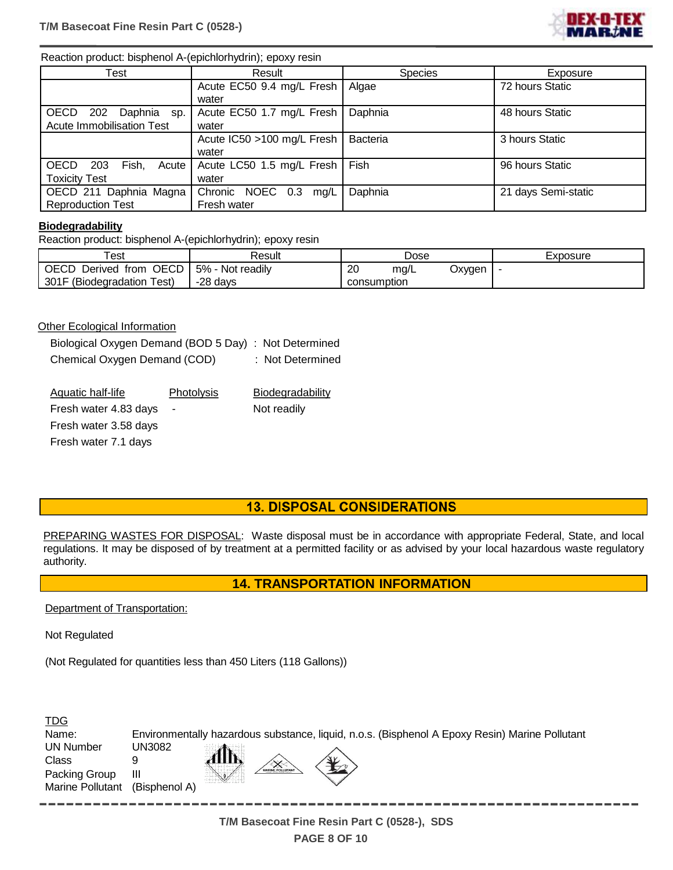

#### Reaction product: bisphenol A-(epichlorhydrin); epoxy resin

| Test                                 | Result                           | <b>Species</b> | Exposure            |
|--------------------------------------|----------------------------------|----------------|---------------------|
|                                      | Acute EC50 9.4 mg/L Fresh        | Algae          | 72 hours Static     |
|                                      | water                            |                |                     |
| <b>OECD</b><br>202<br>Daphnia sp.    | Acute EC50 1.7 mg/L Fresh        | Daphnia        | 48 hours Static     |
| Acute Immobilisation Test            | water                            |                |                     |
|                                      | Acute IC50 >100 mg/L Fresh       | Bacteria       | 3 hours Static      |
|                                      | water                            |                |                     |
| <b>OECD</b><br>203<br>Fish.<br>Acute | Acute LC50 1.5 mg/L Fresh   Fish |                | 96 hours Static     |
| <b>Toxicity Test</b>                 | water                            |                |                     |
| OECD 211 Daphnia Magna               | Chronic NOEC 0.3 mg/L            | Daphnia        | 21 days Semi-static |
| <b>Reproduction Test</b>             | Fresh water                      |                |                     |

#### **Biodegradability**

Reaction product: bisphenol A-(epichlorhydrin); epoxy resin

| -<br>est                               | Result            |             | Dose |        | Exposure |
|----------------------------------------|-------------------|-------------|------|--------|----------|
| OECD<br><b>OECD</b><br>Derived<br>from | 5%<br>Not readily | 20          | mg/L | Oxygen |          |
| 301F (Biodegradation<br>Test).         | -28 days          | consumption |      |        |          |

#### **Other Ecological Information**

Biological Oxygen Demand (BOD 5 Day) : Not Determined Chemical Oxygen Demand (COD) : Not Determined

| Aquatic half-life     | <b>Photolysis</b>        | Biodegradability |
|-----------------------|--------------------------|------------------|
| Fresh water 4.83 days | $\overline{\phantom{a}}$ | Not readily      |
| Fresh water 3.58 days |                          |                  |
| Fresh water 7.1 days  |                          |                  |

## **13. DISPOSAL CONSIDERATIONS**

PREPARING WASTES FOR DISPOSAL: Waste disposal must be in accordance with appropriate Federal, State, and local regulations. It may be disposed of by treatment at a permitted facility or as advised by your local hazardous waste regulatory authority.

#### **14. TRANSPORTATION INFORMATION**

Department of Transportation:

Not Regulated

(Not Regulated for quantities less than 450 Liters (118 Gallons))

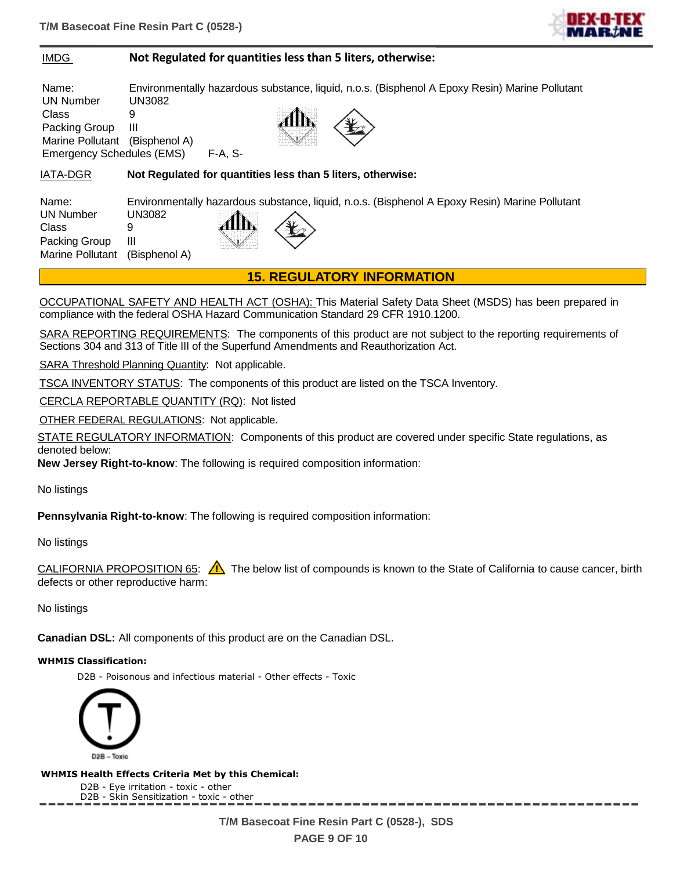

#### IMDG **Not Regulated for quantities less than 5 liters, otherwise:**

Name: Environmentally hazardous substance, liquid, n.o.s. (Bisphenol A Epoxy Resin) Marine Pollutant UN Number UN3082 Class 9 Packing Group III Marine Pollutant (Bisphenol A) Emergency Schedules (EMS) F-A, S-

IATA-DGR **Not Regulated for quantities less than 5 liters, otherwise:**

Name: Environmentally hazardous substance, liquid, n.o.s. (Bisphenol A Epoxy Resin) Marine Pollutant UN Number UN3082 Class 9 Packing Group III Marine Pollutant (Bisphenol A)

**15. REGULATORY INFORMATION**

OCCUPATIONAL SAFETY AND HEALTH ACT (OSHA): This Material Safety Data Sheet (MSDS) has been prepared in compliance with the federal OSHA Hazard Communication Standard 29 CFR 1910.1200.

SARA REPORTING REQUIREMENTS: The components of this product are not subject to the reporting requirements of Sections 304 and 313 of Title III of the Superfund Amendments and Reauthorization Act.

SARA Threshold Planning Quantity: Not applicable.

TSCA INVENTORY STATUS: The components of this product are listed on the TSCA Inventory.

CERCLA REPORTABLE QUANTITY (RQ): Not listed

OTHER FEDERAL REGULATIONS: Not applicable.

STATE REGULATORY INFORMATION: Components of this product are covered under specific State regulations, as denoted below:

**New Jersey Right-to-know**: The following is required composition information:

No listings

**Pennsylvania Right-to-know**: The following is required composition information:

#### No listings

CALIFORNIA PROPOSITION 65:  $\bigwedge$  The below list of compounds is known to the State of California to cause cancer, birth defects or other reproductive harm:

No listings

**Canadian DSL:** All components of this product are on the Canadian DSL.

#### **WHMIS Classification:**

D2B - Poisonous and infectious material - Other effects - Toxic



**WHMIS Health Effects Criteria Met by this Chemical:**

D2B - Eye irritation - toxic - other D2B - Skin Sensitization - toxic - other